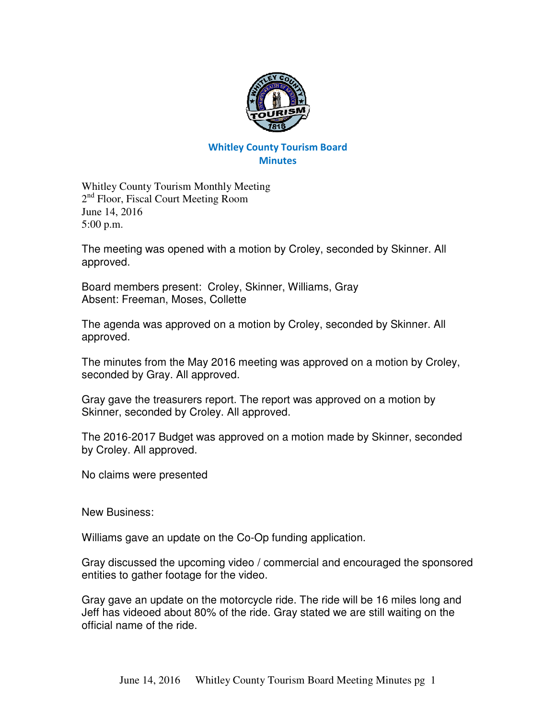

## Whitley County Tourism Board **Minutes**

Whitley County Tourism Monthly Meeting 2<sup>nd</sup> Floor, Fiscal Court Meeting Room June 14, 2016 5:00 p.m.

The meeting was opened with a motion by Croley, seconded by Skinner. All approved.

Board members present: Croley, Skinner, Williams, Gray Absent: Freeman, Moses, Collette

The agenda was approved on a motion by Croley, seconded by Skinner. All approved.

The minutes from the May 2016 meeting was approved on a motion by Croley, seconded by Gray. All approved.

Gray gave the treasurers report. The report was approved on a motion by Skinner, seconded by Croley. All approved.

The 2016-2017 Budget was approved on a motion made by Skinner, seconded by Croley. All approved.

No claims were presented

New Business:

Williams gave an update on the Co-Op funding application.

Gray discussed the upcoming video / commercial and encouraged the sponsored entities to gather footage for the video.

Gray gave an update on the motorcycle ride. The ride will be 16 miles long and Jeff has videoed about 80% of the ride. Gray stated we are still waiting on the official name of the ride.